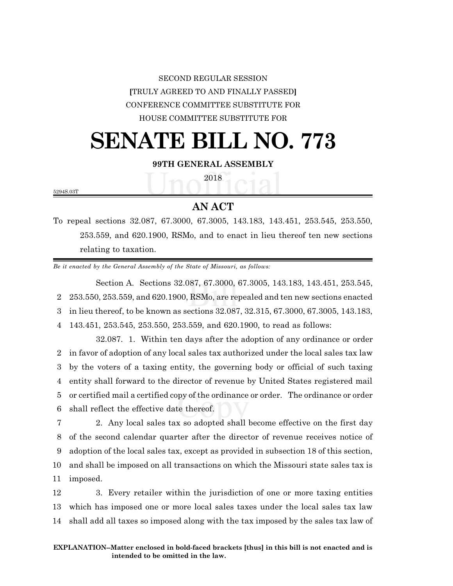# SECOND REGULAR SESSION **[**TRULY AGREED TO AND FINALLY PASSED**]** CONFERENCE COMMITTEE SUBSTITUTE FOR HOUSE COMMITTEE SUBSTITUTE FOR

# **SENATE BILL NO. 773**

## **99TH GENERAL ASSEMBLY**

2018

5294S.03T

## **AN ACT**

To repeal sections 32.087, 67.3000, 67.3005, 143.183, 143.451, 253.545, 253.550, 253.559, and 620.1900, RSMo, and to enact in lieu thereof ten new sections relating to taxation.

*Be it enacted by the General Assembly of the State of Missouri, as follows:*

Section A. Sections 32.087, 67.3000, 67.3005, 143.183, 143.451, 253.545, 253.550, 253.559, and 620.1900, RSMo, are repealed and ten new sections enacted in lieu thereof, to be known as sections 32.087, 32.315, 67.3000, 67.3005, 143.183, 143.451, 253.545, 253.550, 253.559, and 620.1900, to read as follows:

32.087. 1. Within ten days after the adoption of any ordinance or order in favor of adoption of any local sales tax authorized under the local sales tax law by the voters of a taxing entity, the governing body or official of such taxing entity shall forward to the director of revenue by United States registered mail or certified mail a certified copy of the ordinance or order. The ordinance or order shall reflect the effective date thereof.

 2. Any local sales tax so adopted shall become effective on the first day of the second calendar quarter after the director of revenue receives notice of adoption of the local sales tax, except as provided in subsection 18 of this section, and shall be imposed on all transactions on which the Missouri state sales tax is 11 imposed.

12 3. Every retailer within the jurisdiction of one or more taxing entities 13 which has imposed one or more local sales taxes under the local sales tax law 14 shall add all taxes so imposed along with the tax imposed by the sales tax law of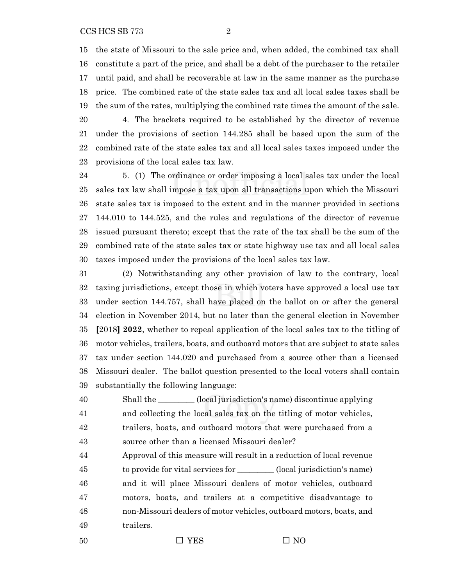the state of Missouri to the sale price and, when added, the combined tax shall constitute a part of the price, and shall be a debt of the purchaser to the retailer until paid, and shall be recoverable at law in the same manner as the purchase price. The combined rate of the state sales tax and all local sales taxes shall be the sum of the rates, multiplying the combined rate times the amount of the sale. 4. The brackets required to be established by the director of revenue

 under the provisions of section 144.285 shall be based upon the sum of the combined rate of the state sales tax and all local sales taxes imposed under the provisions of the local sales tax law.

 5. (1) The ordinance or order imposing a local sales tax under the local sales tax law shall impose a tax upon all transactions upon which the Missouri state sales tax is imposed to the extent and in the manner provided in sections 144.010 to 144.525, and the rules and regulations of the director of revenue issued pursuant thereto; except that the rate of the tax shall be the sum of the combined rate of the state sales tax or state highway use tax and all local sales taxes imposed under the provisions of the local sales tax law.

 (2) Notwithstanding any other provision of law to the contrary, local taxing jurisdictions, except those in which voters have approved a local use tax under section 144.757, shall have placed on the ballot on or after the general election in November 2014, but no later than the general election in November **[**2018**] 2022**, whether to repeal application of the local sales tax to the titling of motor vehicles, trailers, boats, and outboard motors that are subject to state sales tax under section 144.020 and purchased from a source other than a licensed Missouri dealer. The ballot question presented to the local voters shall contain substantially the following language:

 Shall the \_\_\_\_\_\_\_\_\_ (local jurisdiction's name) discontinue applying and collecting the local sales tax on the titling of motor vehicles, trailers, boats, and outboard motors that were purchased from a source other than a licensed Missouri dealer?

 Approval of this measure will result in a reduction of local revenue to provide for vital services for \_\_\_\_\_\_\_\_\_ (local jurisdiction's name) and it will place Missouri dealers of motor vehicles, outboard motors, boats, and trailers at a competitive disadvantage to non-Missouri dealers of motor vehicles, outboard motors, boats, and trailers.

$$
\square
$$
 **YES**

 $\Box$  YES  $\Box$  NO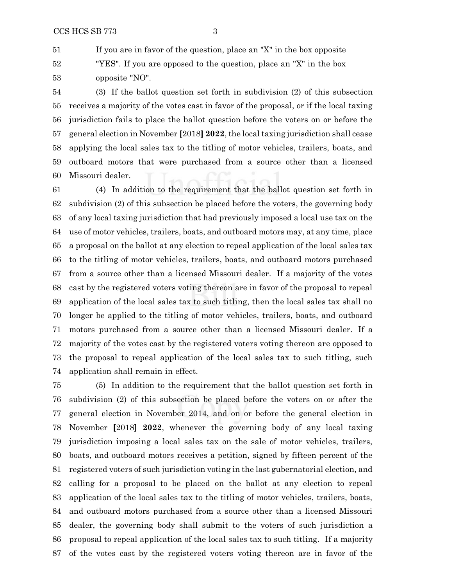If you are in favor of the question, place an "X" in the box opposite "YES". If you are opposed to the question, place an "X" in the box opposite "NO".

 (3) If the ballot question set forth in subdivision (2) of this subsection receives a majority of the votes cast in favor of the proposal, or if the local taxing jurisdiction fails to place the ballot question before the voters on or before the general election in November **[**2018**] 2022**, the local taxing jurisdiction shall cease applying the local sales tax to the titling of motor vehicles, trailers, boats, and outboard motors that were purchased from a source other than a licensed Missouri dealer.

 (4) In addition to the requirement that the ballot question set forth in subdivision (2) of this subsection be placed before the voters, the governing body of any local taxing jurisdiction that had previously imposed a local use tax on the use of motor vehicles, trailers, boats, and outboard motors may, at any time, place a proposal on the ballot at any election to repeal application of the local sales tax to the titling of motor vehicles, trailers, boats, and outboard motors purchased from a source other than a licensed Missouri dealer. If a majority of the votes cast by the registered voters voting thereon are in favor of the proposal to repeal application of the local sales tax to such titling, then the local sales tax shall no longer be applied to the titling of motor vehicles, trailers, boats, and outboard motors purchased from a source other than a licensed Missouri dealer. If a majority of the votes cast by the registered voters voting thereon are opposed to the proposal to repeal application of the local sales tax to such titling, such application shall remain in effect.

 (5) In addition to the requirement that the ballot question set forth in subdivision (2) of this subsection be placed before the voters on or after the general election in November 2014, and on or before the general election in November **[**2018**] 2022**, whenever the governing body of any local taxing jurisdiction imposing a local sales tax on the sale of motor vehicles, trailers, boats, and outboard motors receives a petition, signed by fifteen percent of the registered voters of such jurisdiction voting in the last gubernatorial election, and calling for a proposal to be placed on the ballot at any election to repeal application of the local sales tax to the titling of motor vehicles, trailers, boats, and outboard motors purchased from a source other than a licensed Missouri dealer, the governing body shall submit to the voters of such jurisdiction a proposal to repeal application of the local sales tax to such titling. If a majority of the votes cast by the registered voters voting thereon are in favor of the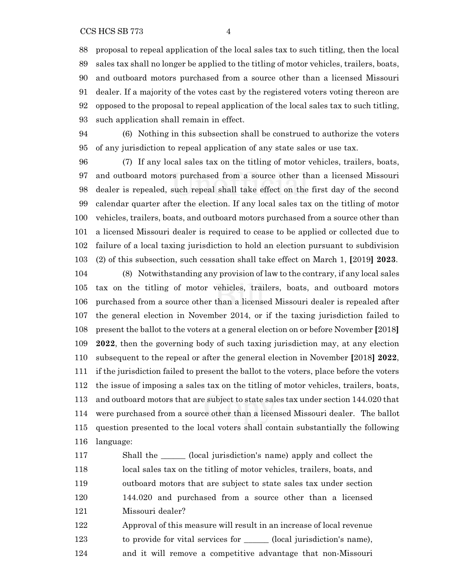proposal to repeal application of the local sales tax to such titling, then the local sales tax shall no longer be applied to the titling of motor vehicles, trailers, boats, and outboard motors purchased from a source other than a licensed Missouri dealer. If a majority of the votes cast by the registered voters voting thereon are opposed to the proposal to repeal application of the local sales tax to such titling, such application shall remain in effect.

 (6) Nothing in this subsection shall be construed to authorize the voters of any jurisdiction to repeal application of any state sales or use tax.

 (7) If any local sales tax on the titling of motor vehicles, trailers, boats, and outboard motors purchased from a source other than a licensed Missouri dealer is repealed, such repeal shall take effect on the first day of the second calendar quarter after the election. If any local sales tax on the titling of motor vehicles, trailers, boats, and outboard motors purchased from a source other than a licensed Missouri dealer is required to cease to be applied or collected due to failure of a local taxing jurisdiction to hold an election pursuant to subdivision (2) of this subsection, such cessation shall take effect on March 1, **[**2019**] 2023**.

 (8) Notwithstanding any provision of law to the contrary, if any local sales tax on the titling of motor vehicles, trailers, boats, and outboard motors purchased from a source other than a licensed Missouri dealer is repealed after the general election in November 2014, or if the taxing jurisdiction failed to present the ballot to the voters at a general election on or before November **[**2018**] 2022**, then the governing body of such taxing jurisdiction may, at any election subsequent to the repeal or after the general election in November **[**2018**] 2022**, if the jurisdiction failed to present the ballot to the voters, place before the voters the issue of imposing a sales tax on the titling of motor vehicles, trailers, boats, and outboard motors that are subject to state sales tax under section 144.020 that were purchased from a source other than a licensed Missouri dealer. The ballot question presented to the local voters shall contain substantially the following language:

117 Shall the \_\_\_\_\_\_\_ (local jurisdiction's name) apply and collect the local sales tax on the titling of motor vehicles, trailers, boats, and outboard motors that are subject to state sales tax under section 144.020 and purchased from a source other than a licensed Missouri dealer? Approval of this measure will result in an increase of local revenue

- 123 to provide for vital services for \_\_\_\_\_\_\_ (local jurisdiction's name),
- and it will remove a competitive advantage that non-Missouri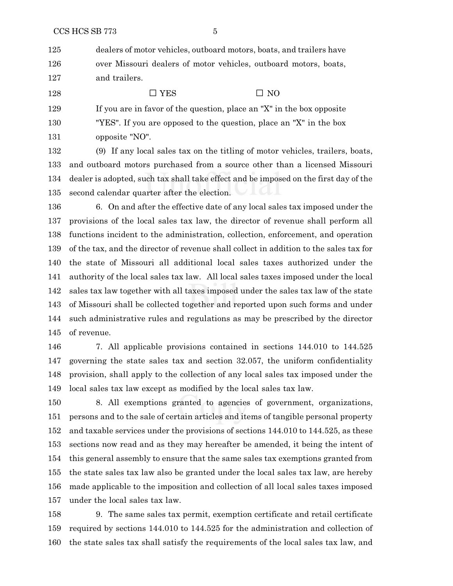dealers of motor vehicles, outboard motors, boats, and trailers have over Missouri dealers of motor vehicles, outboard motors, boats, and trailers.

128  $\square$  YES  $\square$  NO

 If you are in favor of the question, place an "X" in the box opposite "YES". If you are opposed to the question, place an "X" in the box opposite "NO".

 (9) If any local sales tax on the titling of motor vehicles, trailers, boats, and outboard motors purchased from a source other than a licensed Missouri dealer is adopted, such tax shall take effect and be imposed on the first day of the second calendar quarter after the election.

 6. On and after the effective date of any local sales tax imposed under the provisions of the local sales tax law, the director of revenue shall perform all functions incident to the administration, collection, enforcement, and operation of the tax, and the director of revenue shall collect in addition to the sales tax for the state of Missouri all additional local sales taxes authorized under the authority of the local sales tax law. All local sales taxes imposed under the local sales tax law together with all taxes imposed under the sales tax law of the state of Missouri shall be collected together and reported upon such forms and under such administrative rules and regulations as may be prescribed by the director of revenue.

 7. All applicable provisions contained in sections 144.010 to 144.525 governing the state sales tax and section 32.057, the uniform confidentiality provision, shall apply to the collection of any local sales tax imposed under the local sales tax law except as modified by the local sales tax law.

 8. All exemptions granted to agencies of government, organizations, persons and to the sale of certain articles and items of tangible personal property and taxable services under the provisions of sections 144.010 to 144.525, as these sections now read and as they may hereafter be amended, it being the intent of this general assembly to ensure that the same sales tax exemptions granted from the state sales tax law also be granted under the local sales tax law, are hereby made applicable to the imposition and collection of all local sales taxes imposed under the local sales tax law.

 9. The same sales tax permit, exemption certificate and retail certificate required by sections 144.010 to 144.525 for the administration and collection of the state sales tax shall satisfy the requirements of the local sales tax law, and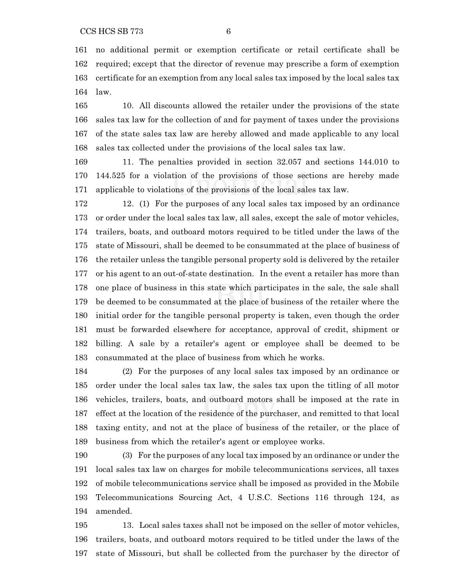no additional permit or exemption certificate or retail certificate shall be required; except that the director of revenue may prescribe a form of exemption certificate for an exemption from any local sales tax imposed by the local sales tax law.

 10. All discounts allowed the retailer under the provisions of the state sales tax law for the collection of and for payment of taxes under the provisions of the state sales tax law are hereby allowed and made applicable to any local sales tax collected under the provisions of the local sales tax law.

 11. The penalties provided in section 32.057 and sections 144.010 to 144.525 for a violation of the provisions of those sections are hereby made applicable to violations of the provisions of the local sales tax law.

 12. (1) For the purposes of any local sales tax imposed by an ordinance or order under the local sales tax law, all sales, except the sale of motor vehicles, trailers, boats, and outboard motors required to be titled under the laws of the state of Missouri, shall be deemed to be consummated at the place of business of the retailer unless the tangible personal property sold is delivered by the retailer or his agent to an out-of-state destination. In the event a retailer has more than one place of business in this state which participates in the sale, the sale shall be deemed to be consummated at the place of business of the retailer where the initial order for the tangible personal property is taken, even though the order must be forwarded elsewhere for acceptance, approval of credit, shipment or billing. A sale by a retailer's agent or employee shall be deemed to be consummated at the place of business from which he works.

 (2) For the purposes of any local sales tax imposed by an ordinance or order under the local sales tax law, the sales tax upon the titling of all motor vehicles, trailers, boats, and outboard motors shall be imposed at the rate in effect at the location of the residence of the purchaser, and remitted to that local taxing entity, and not at the place of business of the retailer, or the place of business from which the retailer's agent or employee works.

 (3) For the purposes of any local tax imposed by an ordinance or under the local sales tax law on charges for mobile telecommunications services, all taxes of mobile telecommunications service shall be imposed as provided in the Mobile Telecommunications Sourcing Act, 4 U.S.C. Sections 116 through 124, as amended.

 13. Local sales taxes shall not be imposed on the seller of motor vehicles, trailers, boats, and outboard motors required to be titled under the laws of the state of Missouri, but shall be collected from the purchaser by the director of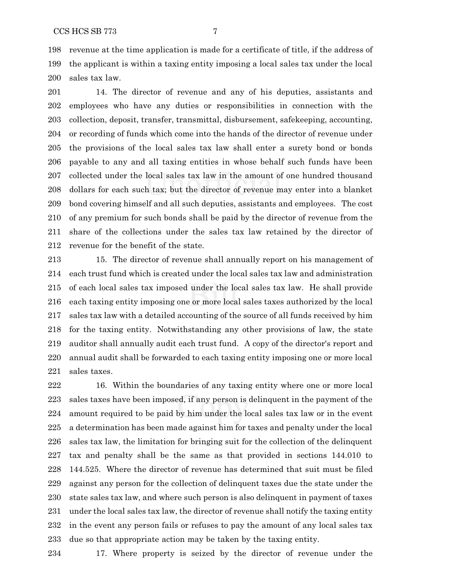revenue at the time application is made for a certificate of title, if the address of the applicant is within a taxing entity imposing a local sales tax under the local sales tax law.

 14. The director of revenue and any of his deputies, assistants and employees who have any duties or responsibilities in connection with the collection, deposit, transfer, transmittal, disbursement, safekeeping, accounting, or recording of funds which come into the hands of the director of revenue under the provisions of the local sales tax law shall enter a surety bond or bonds payable to any and all taxing entities in whose behalf such funds have been collected under the local sales tax law in the amount of one hundred thousand dollars for each such tax; but the director of revenue may enter into a blanket bond covering himself and all such deputies, assistants and employees. The cost of any premium for such bonds shall be paid by the director of revenue from the share of the collections under the sales tax law retained by the director of revenue for the benefit of the state.

 15. The director of revenue shall annually report on his management of each trust fund which is created under the local sales tax law and administration of each local sales tax imposed under the local sales tax law. He shall provide each taxing entity imposing one or more local sales taxes authorized by the local sales tax law with a detailed accounting of the source of all funds received by him for the taxing entity. Notwithstanding any other provisions of law, the state auditor shall annually audit each trust fund. A copy of the director's report and annual audit shall be forwarded to each taxing entity imposing one or more local sales taxes.

 16. Within the boundaries of any taxing entity where one or more local sales taxes have been imposed, if any person is delinquent in the payment of the amount required to be paid by him under the local sales tax law or in the event a determination has been made against him for taxes and penalty under the local sales tax law, the limitation for bringing suit for the collection of the delinquent tax and penalty shall be the same as that provided in sections 144.010 to 144.525. Where the director of revenue has determined that suit must be filed against any person for the collection of delinquent taxes due the state under the state sales tax law, and where such person is also delinquent in payment of taxes under the local sales tax law, the director of revenue shall notify the taxing entity in the event any person fails or refuses to pay the amount of any local sales tax due so that appropriate action may be taken by the taxing entity.

17. Where property is seized by the director of revenue under the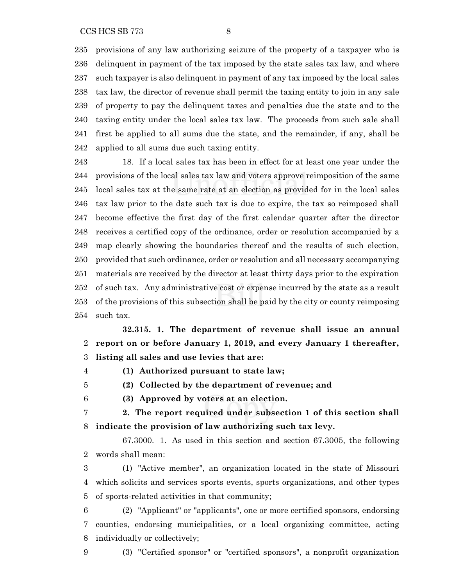provisions of any law authorizing seizure of the property of a taxpayer who is delinquent in payment of the tax imposed by the state sales tax law, and where such taxpayer is also delinquent in payment of any tax imposed by the local sales tax law, the director of revenue shall permit the taxing entity to join in any sale of property to pay the delinquent taxes and penalties due the state and to the taxing entity under the local sales tax law. The proceeds from such sale shall first be applied to all sums due the state, and the remainder, if any, shall be applied to all sums due such taxing entity.

 18. If a local sales tax has been in effect for at least one year under the provisions of the local sales tax law and voters approve reimposition of the same local sales tax at the same rate at an election as provided for in the local sales tax law prior to the date such tax is due to expire, the tax so reimposed shall become effective the first day of the first calendar quarter after the director receives a certified copy of the ordinance, order or resolution accompanied by a map clearly showing the boundaries thereof and the results of such election, provided that such ordinance, order or resolution and all necessary accompanying materials are received by the director at least thirty days prior to the expiration of such tax. Any administrative cost or expense incurred by the state as a result of the provisions of this subsection shall be paid by the city or county reimposing such tax.

**32.315. 1. The department of revenue shall issue an annual report on or before January 1, 2019, and every January 1 thereafter, listing all sales and use levies that are:**

**(1) Authorized pursuant to state law;**

- **(2) Collected by the department of revenue; and**
- - **(3) Approved by voters at an election.**
	- **2. The report required under subsection 1 of this section shall indicate the provision of law authorizing such tax levy.**

67.3000. 1. As used in this section and section 67.3005, the following words shall mean:

 (1) "Active member", an organization located in the state of Missouri which solicits and services sports events, sports organizations, and other types of sports-related activities in that community;

 (2) "Applicant" or "applicants", one or more certified sponsors, endorsing counties, endorsing municipalities, or a local organizing committee, acting individually or collectively;

(3) "Certified sponsor" or "certified sponsors", a nonprofit organization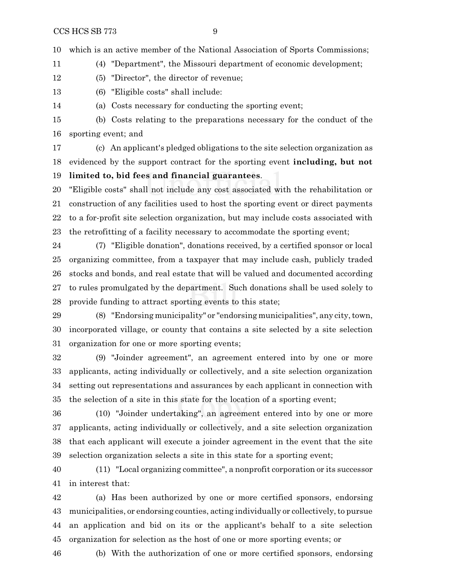which is an active member of the National Association of Sports Commissions;

(4) "Department", the Missouri department of economic development;

(5) "Director", the director of revenue;

(6) "Eligible costs" shall include:

(a) Costs necessary for conducting the sporting event;

 (b) Costs relating to the preparations necessary for the conduct of the sporting event; and

 (c) An applicant's pledged obligations to the site selection organization as evidenced by the support contract for the sporting event **including, but not**

**limited to, bid fees and financial guarantees**.

 "Eligible costs" shall not include any cost associated with the rehabilitation or construction of any facilities used to host the sporting event or direct payments to a for-profit site selection organization, but may include costs associated with the retrofitting of a facility necessary to accommodate the sporting event;

 (7) "Eligible donation", donations received, by a certified sponsor or local organizing committee, from a taxpayer that may include cash, publicly traded stocks and bonds, and real estate that will be valued and documented according to rules promulgated by the department. Such donations shall be used solely to provide funding to attract sporting events to this state;

29 (8) "Endorsing municipality" or "endorsing municipalities", any city, town, incorporated village, or county that contains a site selected by a site selection organization for one or more sporting events;

 (9) "Joinder agreement", an agreement entered into by one or more applicants, acting individually or collectively, and a site selection organization setting out representations and assurances by each applicant in connection with the selection of a site in this state for the location of a sporting event;

 (10) "Joinder undertaking", an agreement entered into by one or more applicants, acting individually or collectively, and a site selection organization that each applicant will execute a joinder agreement in the event that the site selection organization selects a site in this state for a sporting event;

 (11) "Local organizing committee", a nonprofit corporation or its successor in interest that:

 (a) Has been authorized by one or more certified sponsors, endorsing municipalities, or endorsing counties, acting individually or collectively,to pursue an application and bid on its or the applicant's behalf to a site selection organization for selection as the host of one or more sporting events; or

(b) With the authorization of one or more certified sponsors, endorsing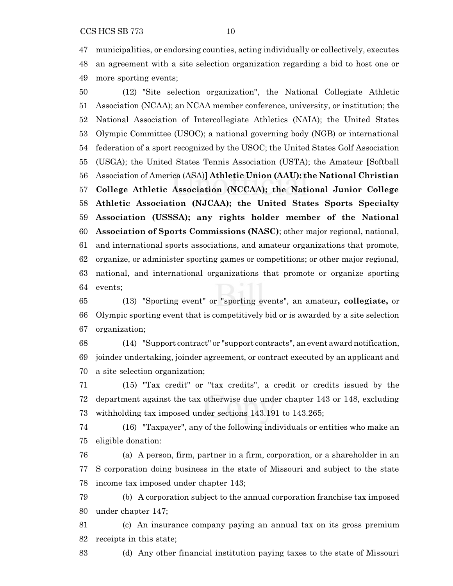municipalities, or endorsing counties, acting individually or collectively, executes an agreement with a site selection organization regarding a bid to host one or more sporting events;

 (12) "Site selection organization", the National Collegiate Athletic Association (NCAA); an NCAA member conference, university, or institution; the National Association of Intercollegiate Athletics (NAIA); the United States Olympic Committee (USOC); a national governing body (NGB) or international federation of a sport recognized by the USOC; the United States Golf Association (USGA); the United States Tennis Association (USTA); the Amateur **[**Softball Association of America (ASA)**] Athletic Union (AAU); the National Christian College Athletic Association (NCCAA); the National Junior College Athletic Association (NJCAA); the United States Sports Specialty Association (USSSA); any rights holder member of the National Association of Sports Commissions (NASC)**; other major regional, national, and international sports associations, and amateur organizations that promote, organize, or administer sporting games or competitions; or other major regional, national, and international organizations that promote or organize sporting events;

 (13) "Sporting event" or "sporting events", an amateur**, collegiate,** or Olympic sporting event that is competitively bid or is awarded by a site selection organization;

 (14) "Support contract" or "support contracts", an event award notification, joinder undertaking, joinder agreement, or contract executed by an applicant and a site selection organization;

 (15) "Tax credit" or "tax credits", a credit or credits issued by the department against the tax otherwise due under chapter 143 or 148, excluding withholding tax imposed under sections 143.191 to 143.265;

 (16) "Taxpayer", any of the following individuals or entities who make an eligible donation:

 (a) A person, firm, partner in a firm, corporation, or a shareholder in an S corporation doing business in the state of Missouri and subject to the state income tax imposed under chapter 143;

 (b) A corporation subject to the annual corporation franchise tax imposed under chapter 147;

 (c) An insurance company paying an annual tax on its gross premium receipts in this state;

(d) Any other financial institution paying taxes to the state of Missouri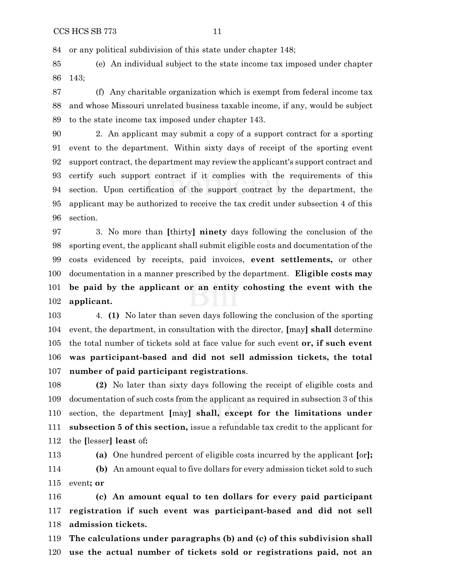or any political subdivision of this state under chapter 148;

 (e) An individual subject to the state income tax imposed under chapter 143;

 (f) Any charitable organization which is exempt from federal income tax and whose Missouri unrelated business taxable income, if any, would be subject to the state income tax imposed under chapter 143.

 2. An applicant may submit a copy of a support contract for a sporting event to the department. Within sixty days of receipt of the sporting event support contract, the department may review the applicant's support contract and certify such support contract if it complies with the requirements of this section. Upon certification of the support contract by the department, the applicant may be authorized to receive the tax credit under subsection 4 of this section.

 3. No more than **[**thirty**] ninety** days following the conclusion of the sporting event, the applicant shall submit eligible costs and documentation of the costs evidenced by receipts, paid invoices, **event settlements,** or other documentation in a manner prescribed by the department. **Eligible costs may be paid by the applicant or an entity cohosting the event with the applicant.**

 4. **(1)** No later than seven days following the conclusion of the sporting event, the department, in consultation with the director, **[**may**] shall** determine the total number of tickets sold at face value for such event **or, if such event was participant-based and did not sell admission tickets, the total number of paid participant registrations**.

 **(2)** No later than sixty days following the receipt of eligible costs and documentation of such costs from the applicant as required in subsection 3 of this section, the department **[**may**] shall, except for the limitations under subsection 5 of this section,** issue a refundable tax credit to the applicant for the **[**lesser**] least** of**:**

 **(a)** One hundred percent of eligible costs incurred by the applicant **[**or**]; (b)** An amount equal to five dollars for every admission ticket sold to such event**; or**

 **(c) An amount equal to ten dollars for every paid participant registration if such event was participant-based and did not sell admission tickets.**

 **The calculations under paragraphs (b) and (c) of this subdivision shall use the actual number of tickets sold or registrations paid, not an**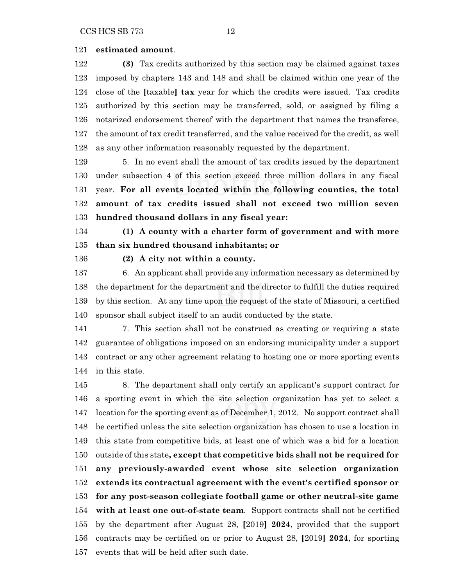#### **estimated amount**.

 **(3)** Tax credits authorized by this section may be claimed against taxes imposed by chapters 143 and 148 and shall be claimed within one year of the close of the **[**taxable**] tax** year for which the credits were issued. Tax credits authorized by this section may be transferred, sold, or assigned by filing a notarized endorsement thereof with the department that names the transferee, the amount of tax credit transferred, and the value received for the credit, as well as any other information reasonably requested by the department.

 5. In no event shall the amount of tax credits issued by the department under subsection 4 of this section exceed three million dollars in any fiscal year. **For all events located within the following counties, the total amount of tax credits issued shall not exceed two million seven hundred thousand dollars in any fiscal year:**

 **(1) A county with a charter form of government and with more than six hundred thousand inhabitants; or**

**(2) A city not within a county.**

 6. An applicant shall provide any information necessary as determined by the department for the department and the director to fulfill the duties required by this section. At any time upon the request of the state of Missouri, a certified sponsor shall subject itself to an audit conducted by the state.

 7. This section shall not be construed as creating or requiring a state guarantee of obligations imposed on an endorsing municipality under a support contract or any other agreement relating to hosting one or more sporting events in this state.

 8. The department shall only certify an applicant's support contract for a sporting event in which the site selection organization has yet to select a location for the sporting event as of December 1, 2012. No support contract shall be certified unless the site selection organization has chosen to use a location in this state from competitive bids, at least one of which was a bid for a location outside of this state**, except that competitive bids shall not be required for any previously-awarded event whose site selection organization extends its contractual agreement with the event's certified sponsor or for any post-season collegiate football game or other neutral-site game with at least one out-of-state team**. Support contracts shall not be certified by the department after August 28, **[**2019**] 2024**, provided that the support contracts may be certified on or prior to August 28, **[**2019**] 2024**, for sporting events that will be held after such date.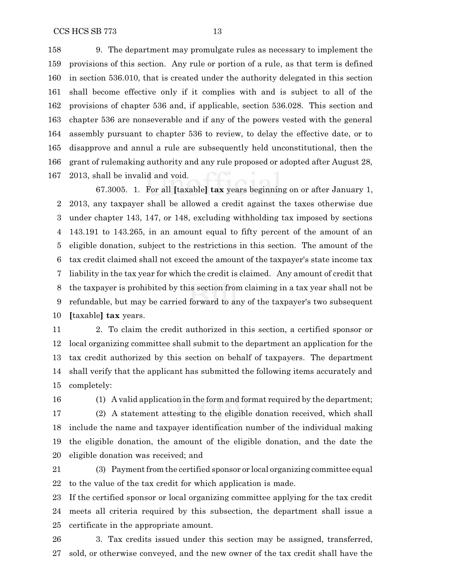9. The department may promulgate rules as necessary to implement the provisions of this section. Any rule or portion of a rule, as that term is defined in section 536.010, that is created under the authority delegated in this section shall become effective only if it complies with and is subject to all of the provisions of chapter 536 and, if applicable, section 536.028. This section and chapter 536 are nonseverable and if any of the powers vested with the general assembly pursuant to chapter 536 to review, to delay the effective date, or to disapprove and annul a rule are subsequently held unconstitutional, then the grant of rulemaking authority and any rule proposed or adopted after August 28, 2013, shall be invalid and void.

67.3005. 1. For all **[**taxable**] tax** years beginning on or after January 1, 2013, any taxpayer shall be allowed a credit against the taxes otherwise due under chapter 143, 147, or 148, excluding withholding tax imposed by sections 143.191 to 143.265, in an amount equal to fifty percent of the amount of an eligible donation, subject to the restrictions in this section. The amount of the tax credit claimed shall not exceed the amount of the taxpayer's state income tax liability in the tax year for which the credit is claimed. Any amount of credit that the taxpayer is prohibited by this section from claiming in a tax year shall not be refundable, but may be carried forward to any of the taxpayer's two subsequent **[**taxable**] tax** years.

 2. To claim the credit authorized in this section, a certified sponsor or local organizing committee shall submit to the department an application for the tax credit authorized by this section on behalf of taxpayers. The department shall verify that the applicant has submitted the following items accurately and completely:

(1) A valid application in the form and format required by the department;

 (2) A statement attesting to the eligible donation received, which shall include the name and taxpayer identification number of the individual making the eligible donation, the amount of the eligible donation, and the date the eligible donation was received; and

 (3) Payment from the certified sponsor or local organizing committee equal to the value of the tax credit for which application is made.

 If the certified sponsor or local organizing committee applying for the tax credit meets all criteria required by this subsection, the department shall issue a certificate in the appropriate amount.

 3. Tax credits issued under this section may be assigned, transferred, sold, or otherwise conveyed, and the new owner of the tax credit shall have the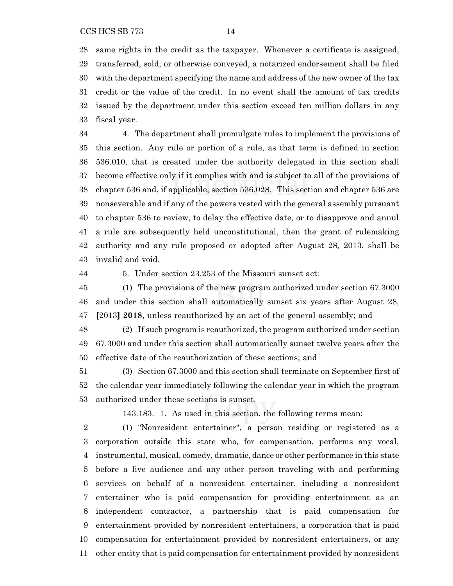same rights in the credit as the taxpayer. Whenever a certificate is assigned, transferred, sold, or otherwise conveyed, a notarized endorsement shall be filed with the department specifying the name and address of the new owner of the tax credit or the value of the credit. In no event shall the amount of tax credits issued by the department under this section exceed ten million dollars in any fiscal year.

 4. The department shall promulgate rules to implement the provisions of this section. Any rule or portion of a rule, as that term is defined in section 536.010, that is created under the authority delegated in this section shall become effective only if it complies with and is subject to all of the provisions of chapter 536 and, if applicable, section 536.028. This section and chapter 536 are nonseverable and if any of the powers vested with the general assembly pursuant to chapter 536 to review, to delay the effective date, or to disapprove and annul a rule are subsequently held unconstitutional, then the grant of rulemaking authority and any rule proposed or adopted after August 28, 2013, shall be invalid and void.

5. Under section 23.253 of the Missouri sunset act:

 (1) The provisions of the new program authorized under section 67.3000 and under this section shall automatically sunset six years after August 28, **[**2013**] 2018**, unless reauthorized by an act of the general assembly; and

 (2) If such program is reauthorized, the program authorized under section 67.3000 and under this section shall automatically sunset twelve years after the effective date of the reauthorization of these sections; and

 (3) Section 67.3000 and this section shall terminate on September first of the calendar year immediately following the calendar year in which the program authorized under these sections is sunset.

143.183. 1. As used in this section, the following terms mean:

 (1) "Nonresident entertainer", a person residing or registered as a corporation outside this state who, for compensation, performs any vocal, instrumental, musical, comedy, dramatic, dance or other performance in this state before a live audience and any other person traveling with and performing services on behalf of a nonresident entertainer, including a nonresident entertainer who is paid compensation for providing entertainment as an independent contractor, a partnership that is paid compensation for entertainment provided by nonresident entertainers, a corporation that is paid compensation for entertainment provided by nonresident entertainers, or any other entity that is paid compensation for entertainment provided by nonresident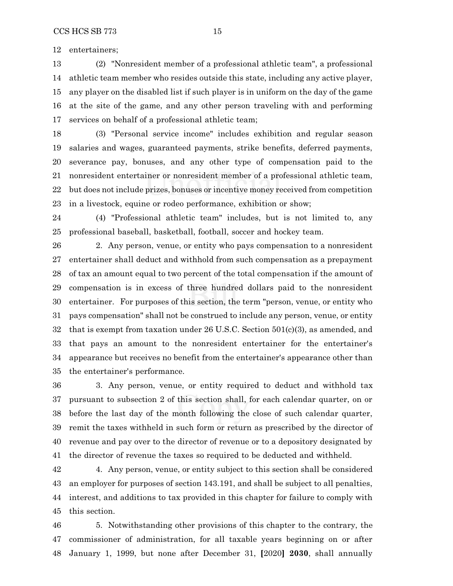entertainers;

 (2) "Nonresident member of a professional athletic team", a professional athletic team member who resides outside this state, including any active player, any player on the disabled list if such player is in uniform on the day of the game at the site of the game, and any other person traveling with and performing services on behalf of a professional athletic team;

 (3) "Personal service income" includes exhibition and regular season salaries and wages, guaranteed payments, strike benefits, deferred payments, severance pay, bonuses, and any other type of compensation paid to the nonresident entertainer or nonresident member of a professional athletic team, but does not include prizes, bonuses or incentive money received from competition in a livestock, equine or rodeo performance, exhibition or show;

 (4) "Professional athletic team" includes, but is not limited to, any professional baseball, basketball, football, soccer and hockey team.

 2. Any person, venue, or entity who pays compensation to a nonresident entertainer shall deduct and withhold from such compensation as a prepayment of tax an amount equal to two percent of the total compensation if the amount of compensation is in excess of three hundred dollars paid to the nonresident entertainer. For purposes of this section, the term "person, venue, or entity who pays compensation" shall not be construed to include any person, venue, or entity that is exempt from taxation under 26 U.S.C. Section 501(c)(3), as amended, and that pays an amount to the nonresident entertainer for the entertainer's appearance but receives no benefit from the entertainer's appearance other than the entertainer's performance.

 3. Any person, venue, or entity required to deduct and withhold tax pursuant to subsection 2 of this section shall, for each calendar quarter, on or before the last day of the month following the close of such calendar quarter, remit the taxes withheld in such form or return as prescribed by the director of revenue and pay over to the director of revenue or to a depository designated by the director of revenue the taxes so required to be deducted and withheld.

 4. Any person, venue, or entity subject to this section shall be considered an employer for purposes of section 143.191, and shall be subject to all penalties, interest, and additions to tax provided in this chapter for failure to comply with this section.

 5. Notwithstanding other provisions of this chapter to the contrary, the commissioner of administration, for all taxable years beginning on or after January 1, 1999, but none after December 31, **[**2020**] 2030**, shall annually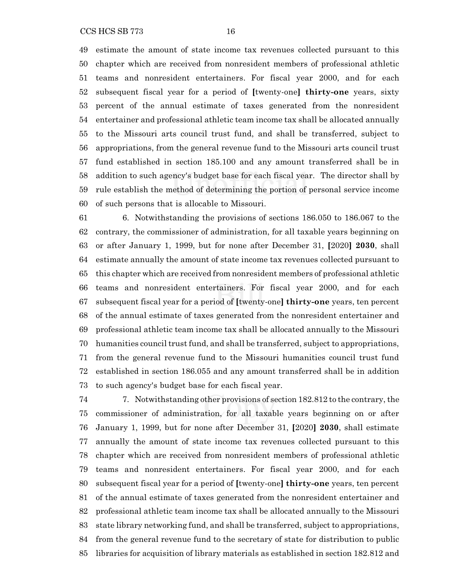estimate the amount of state income tax revenues collected pursuant to this chapter which are received from nonresident members of professional athletic teams and nonresident entertainers. For fiscal year 2000, and for each subsequent fiscal year for a period of **[**twenty-one**] thirty-one** years, sixty percent of the annual estimate of taxes generated from the nonresident entertainer and professional athletic team income tax shall be allocated annually to the Missouri arts council trust fund, and shall be transferred, subject to appropriations, from the general revenue fund to the Missouri arts council trust fund established in section 185.100 and any amount transferred shall be in addition to such agency's budget base for each fiscal year. The director shall by rule establish the method of determining the portion of personal service income of such persons that is allocable to Missouri.

 6. Notwithstanding the provisions of sections 186.050 to 186.067 to the contrary, the commissioner of administration, for all taxable years beginning on or after January 1, 1999, but for none after December 31, **[**2020**] 2030**, shall estimate annually the amount of state income tax revenues collected pursuant to this chapter which are received from nonresident members of professional athletic teams and nonresident entertainers. For fiscal year 2000, and for each subsequent fiscal year for a period of **[**twenty-one**] thirty-one** years, ten percent of the annual estimate of taxes generated from the nonresident entertainer and professional athletic team income tax shall be allocated annually to the Missouri humanities council trust fund, and shall be transferred, subject to appropriations, from the general revenue fund to the Missouri humanities council trust fund established in section 186.055 and any amount transferred shall be in addition to such agency's budget base for each fiscal year.

 7. Notwithstanding other provisions of section 182.812 to the contrary, the commissioner of administration, for all taxable years beginning on or after January 1, 1999, but for none after December 31, **[**2020**] 2030**, shall estimate annually the amount of state income tax revenues collected pursuant to this chapter which are received from nonresident members of professional athletic teams and nonresident entertainers. For fiscal year 2000, and for each subsequent fiscal year for a period of **[**twenty-one**] thirty-one** years, ten percent of the annual estimate of taxes generated from the nonresident entertainer and professional athletic team income tax shall be allocated annually to the Missouri state library networking fund, and shall be transferred, subject to appropriations, from the general revenue fund to the secretary of state for distribution to public libraries for acquisition of library materials as established in section 182.812 and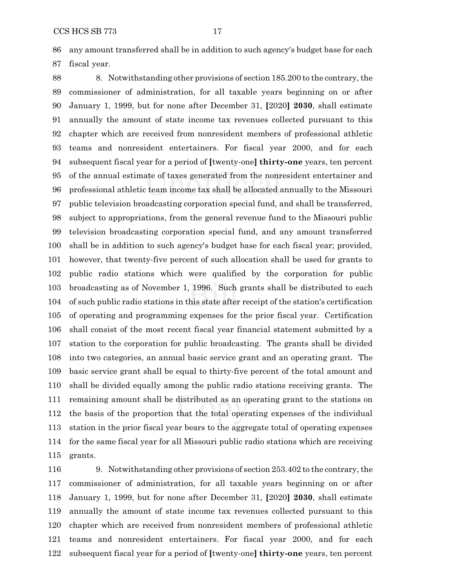any amount transferred shall be in addition to such agency's budget base for each fiscal year.

 8. Notwithstanding other provisions of section 185.200 to the contrary, the commissioner of administration, for all taxable years beginning on or after January 1, 1999, but for none after December 31, **[**2020**] 2030**, shall estimate annually the amount of state income tax revenues collected pursuant to this chapter which are received from nonresident members of professional athletic teams and nonresident entertainers. For fiscal year 2000, and for each subsequent fiscal year for a period of **[**twenty-one**] thirty-one** years, ten percent of the annual estimate of taxes generated from the nonresident entertainer and professional athletic team income tax shall be allocated annually to the Missouri public television broadcasting corporation special fund, and shall be transferred, subject to appropriations, from the general revenue fund to the Missouri public television broadcasting corporation special fund, and any amount transferred shall be in addition to such agency's budget base for each fiscal year; provided, however, that twenty-five percent of such allocation shall be used for grants to public radio stations which were qualified by the corporation for public broadcasting as of November 1, 1996. Such grants shall be distributed to each of such public radio stations in this state after receipt of the station's certification of operating and programming expenses for the prior fiscal year. Certification shall consist of the most recent fiscal year financial statement submitted by a station to the corporation for public broadcasting. The grants shall be divided into two categories, an annual basic service grant and an operating grant. The basic service grant shall be equal to thirty-five percent of the total amount and shall be divided equally among the public radio stations receiving grants. The remaining amount shall be distributed as an operating grant to the stations on the basis of the proportion that the total operating expenses of the individual station in the prior fiscal year bears to the aggregate total of operating expenses for the same fiscal year for all Missouri public radio stations which are receiving grants.

 9. Notwithstanding other provisions of section 253.402 to the contrary, the commissioner of administration, for all taxable years beginning on or after January 1, 1999, but for none after December 31, **[**2020**] 2030**, shall estimate annually the amount of state income tax revenues collected pursuant to this chapter which are received from nonresident members of professional athletic teams and nonresident entertainers. For fiscal year 2000, and for each subsequent fiscal year for a period of **[**twenty-one**] thirty-one** years, ten percent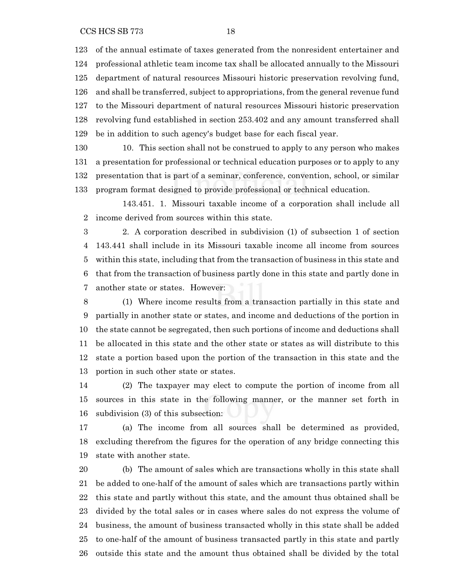of the annual estimate of taxes generated from the nonresident entertainer and professional athletic team income tax shall be allocated annually to the Missouri department of natural resources Missouri historic preservation revolving fund, and shall be transferred, subject to appropriations, from the general revenue fund to the Missouri department of natural resources Missouri historic preservation revolving fund established in section 253.402 and any amount transferred shall be in addition to such agency's budget base for each fiscal year.

 10. This section shall not be construed to apply to any person who makes a presentation for professional or technical education purposes or to apply to any presentation that is part of a seminar, conference, convention, school, or similar program format designed to provide professional or technical education.

143.451. 1. Missouri taxable income of a corporation shall include all income derived from sources within this state.

 2. A corporation described in subdivision (1) of subsection 1 of section 143.441 shall include in its Missouri taxable income all income from sources within this state, including that from the transaction of business in this state and that from the transaction of business partly done in this state and partly done in another state or states. However:

 (1) Where income results from a transaction partially in this state and partially in another state or states, and income and deductions of the portion in the state cannot be segregated, then such portions of income and deductions shall be allocated in this state and the other state or states as will distribute to this state a portion based upon the portion of the transaction in this state and the portion in such other state or states.

 (2) The taxpayer may elect to compute the portion of income from all sources in this state in the following manner, or the manner set forth in subdivision (3) of this subsection:

 (a) The income from all sources shall be determined as provided, excluding therefrom the figures for the operation of any bridge connecting this state with another state.

 (b) The amount of sales which are transactions wholly in this state shall be added to one-half of the amount of sales which are transactions partly within this state and partly without this state, and the amount thus obtained shall be divided by the total sales or in cases where sales do not express the volume of business, the amount of business transacted wholly in this state shall be added to one-half of the amount of business transacted partly in this state and partly outside this state and the amount thus obtained shall be divided by the total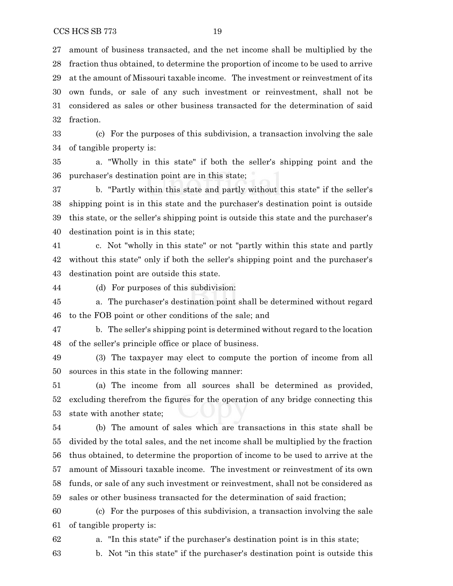fraction.

 (c) For the purposes of this subdivision, a transaction involving the sale of tangible property is:

 a. "Wholly in this state" if both the seller's shipping point and the purchaser's destination point are in this state;

 b. "Partly within this state and partly without this state" if the seller's shipping point is in this state and the purchaser's destination point is outside this state, or the seller's shipping point is outside this state and the purchaser's destination point is in this state;

 c. Not "wholly in this state" or not "partly within this state and partly without this state" only if both the seller's shipping point and the purchaser's destination point are outside this state.

(d) For purposes of this subdivision:

 a. The purchaser's destination point shall be determined without regard to the FOB point or other conditions of the sale; and

 b. The seller's shipping point is determined without regard to the location of the seller's principle office or place of business.

 (3) The taxpayer may elect to compute the portion of income from all sources in this state in the following manner:

 (a) The income from all sources shall be determined as provided, excluding therefrom the figures for the operation of any bridge connecting this state with another state;

 (b) The amount of sales which are transactions in this state shall be divided by the total sales, and the net income shall be multiplied by the fraction thus obtained, to determine the proportion of income to be used to arrive at the amount of Missouri taxable income. The investment or reinvestment of its own funds, or sale of any such investment or reinvestment, shall not be considered as sales or other business transacted for the determination of said fraction;

 (c) For the purposes of this subdivision, a transaction involving the sale of tangible property is:

a. "In this state" if the purchaser's destination point is in this state;

b. Not "in this state" if the purchaser's destination point is outside this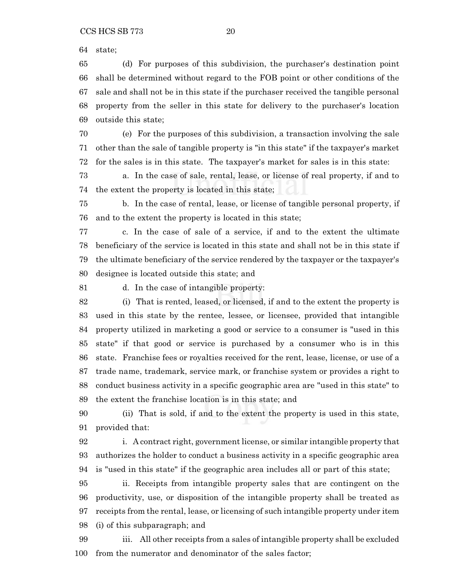state;

 (d) For purposes of this subdivision, the purchaser's destination point shall be determined without regard to the FOB point or other conditions of the sale and shall not be in this state if the purchaser received the tangible personal property from the seller in this state for delivery to the purchaser's location outside this state;

 (e) For the purposes of this subdivision, a transaction involving the sale other than the sale of tangible property is "in this state" if the taxpayer's market for the sales is in this state. The taxpayer's market for sales is in this state:

 a. In the case of sale, rental, lease, or license of real property, if and to the extent the property is located in this state;

 b. In the case of rental, lease, or license of tangible personal property, if and to the extent the property is located in this state;

 c. In the case of sale of a service, if and to the extent the ultimate beneficiary of the service is located in this state and shall not be in this state if the ultimate beneficiary of the service rendered by the taxpayer or the taxpayer's designee is located outside this state; and

d. In the case of intangible property:

 (i) That is rented, leased, or licensed, if and to the extent the property is used in this state by the rentee, lessee, or licensee, provided that intangible property utilized in marketing a good or service to a consumer is "used in this state" if that good or service is purchased by a consumer who is in this state. Franchise fees or royalties received for the rent, lease, license, or use of a trade name, trademark, service mark, or franchise system or provides a right to conduct business activity in a specific geographic area are "used in this state" to the extent the franchise location is in this state; and

 (ii) That is sold, if and to the extent the property is used in this state, provided that:

 i. A contract right, government license, or similar intangible property that authorizes the holder to conduct a business activity in a specific geographic area is "used in this state" if the geographic area includes all or part of this state;

 ii. Receipts from intangible property sales that are contingent on the productivity, use, or disposition of the intangible property shall be treated as receipts from the rental, lease, or licensing of such intangible property under item (i) of this subparagraph; and

 iii. All other receipts from a sales of intangible property shall be excluded from the numerator and denominator of the sales factor;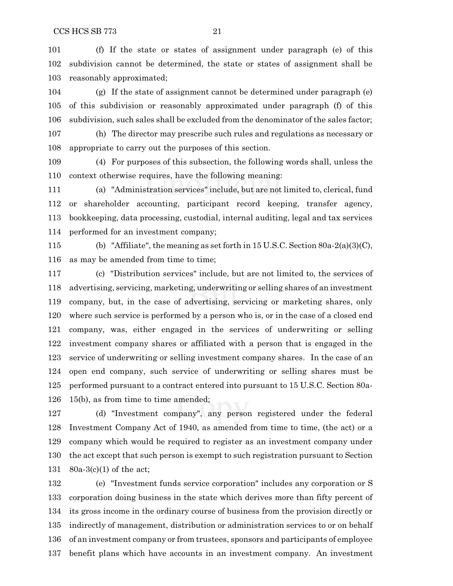(f) If the state or states of assignment under paragraph (e) of this subdivision cannot be determined, the state or states of assignment shall be reasonably approximated;

 (g) If the state of assignment cannot be determined under paragraph (e) of this subdivision or reasonably approximated under paragraph (f) of this subdivision, such sales shall be excluded from the denominator of the sales factor;

 (h) The director may prescribe such rules and regulations as necessary or appropriate to carry out the purposes of this section.

 (4) For purposes of this subsection, the following words shall, unless the context otherwise requires, have the following meaning:

 (a) "Administration services" include, but are not limited to, clerical, fund or shareholder accounting, participant record keeping, transfer agency, bookkeeping, data processing, custodial, internal auditing, legal and tax services performed for an investment company;

 (b) "Affiliate", the meaning as set forth in 15 U.S.C. Section 80a-2(a)(3)(C), as may be amended from time to time;

 (c) "Distribution services" include, but are not limited to, the services of advertising, servicing, marketing, underwriting or selling shares of an investment company, but, in the case of advertising, servicing or marketing shares, only where such service is performed by a person who is, or in the case of a closed end company, was, either engaged in the services of underwriting or selling investment company shares or affiliated with a person that is engaged in the service of underwriting or selling investment company shares. In the case of an open end company, such service of underwriting or selling shares must be performed pursuant to a contract entered into pursuant to 15 U.S.C. Section 80a-15(b), as from time to time amended;

 (d) "Investment company", any person registered under the federal Investment Company Act of 1940, as amended from time to time, (the act) or a company which would be required to register as an investment company under the act except that such person is exempt to such registration pursuant to Section 80a-3(c)(1) of the act;

 (e) "Investment funds service corporation" includes any corporation or S corporation doing business in the state which derives more than fifty percent of its gross income in the ordinary course of business from the provision directly or indirectly of management, distribution or administration services to or on behalf of an investment company or from trustees, sponsors and participants of employee benefit plans which have accounts in an investment company. An investment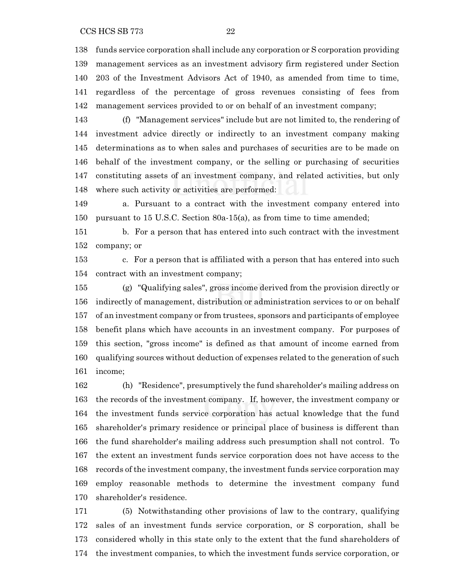CCS HCS SB 773 22

 funds service corporation shall include any corporation or S corporation providing management services as an investment advisory firm registered under Section 203 of the Investment Advisors Act of 1940, as amended from time to time, regardless of the percentage of gross revenues consisting of fees from management services provided to or on behalf of an investment company;

 (f) "Management services" include but are not limited to, the rendering of investment advice directly or indirectly to an investment company making determinations as to when sales and purchases of securities are to be made on behalf of the investment company, or the selling or purchasing of securities constituting assets of an investment company, and related activities, but only where such activity or activities are performed:

 a. Pursuant to a contract with the investment company entered into pursuant to 15 U.S.C. Section 80a-15(a), as from time to time amended;

 b. For a person that has entered into such contract with the investment company; or

 c. For a person that is affiliated with a person that has entered into such contract with an investment company;

 (g) "Qualifying sales", gross income derived from the provision directly or indirectly of management, distribution or administration services to or on behalf of an investment company or from trustees, sponsors and participants of employee benefit plans which have accounts in an investment company. For purposes of this section, "gross income" is defined as that amount of income earned from qualifying sources without deduction of expenses related to the generation of such income;

 (h) "Residence", presumptively the fund shareholder's mailing address on the records of the investment company. If, however, the investment company or the investment funds service corporation has actual knowledge that the fund shareholder's primary residence or principal place of business is different than the fund shareholder's mailing address such presumption shall not control. To the extent an investment funds service corporation does not have access to the records of the investment company, the investment funds service corporation may employ reasonable methods to determine the investment company fund shareholder's residence.

 (5) Notwithstanding other provisions of law to the contrary, qualifying sales of an investment funds service corporation, or S corporation, shall be considered wholly in this state only to the extent that the fund shareholders of the investment companies, to which the investment funds service corporation, or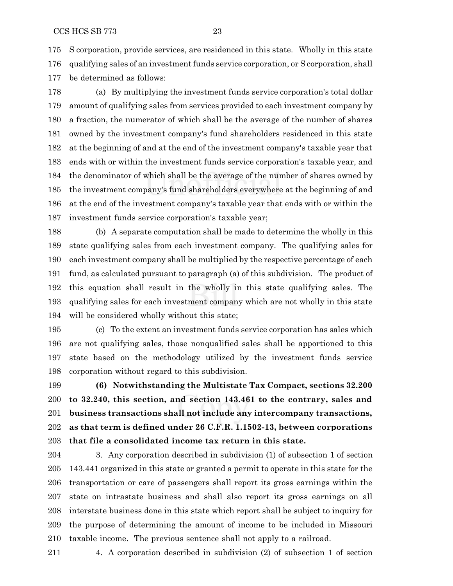S corporation, provide services, are residenced in this state. Wholly in this state qualifying sales of an investment funds service corporation, or S corporation, shall be determined as follows:

 (a) By multiplying the investment funds service corporation's total dollar amount of qualifying sales from services provided to each investment company by a fraction, the numerator of which shall be the average of the number of shares owned by the investment company's fund shareholders residenced in this state at the beginning of and at the end of the investment company's taxable year that ends with or within the investment funds service corporation's taxable year, and the denominator of which shall be the average of the number of shares owned by the investment company's fund shareholders everywhere at the beginning of and at the end of the investment company's taxable year that ends with or within the investment funds service corporation's taxable year;

 (b) A separate computation shall be made to determine the wholly in this state qualifying sales from each investment company. The qualifying sales for each investment company shall be multiplied by the respective percentage of each fund, as calculated pursuant to paragraph (a) of this subdivision. The product of this equation shall result in the wholly in this state qualifying sales. The qualifying sales for each investment company which are not wholly in this state will be considered wholly without this state;

 (c) To the extent an investment funds service corporation has sales which are not qualifying sales, those nonqualified sales shall be apportioned to this state based on the methodology utilized by the investment funds service corporation without regard to this subdivision.

 **(6) Notwithstanding the Multistate Tax Compact, sections 32.200 to 32.240, this section, and section 143.461 to the contrary, sales and business transactions shall not include any intercompany transactions, as that term is defined under 26 C.F.R. 1.1502-13, between corporations that file a consolidated income tax return in this state.**

 3. Any corporation described in subdivision (1) of subsection 1 of section 143.441 organized in this state or granted a permit to operate in this state for the transportation or care of passengers shall report its gross earnings within the state on intrastate business and shall also report its gross earnings on all interstate business done in this state which report shall be subject to inquiry for the purpose of determining the amount of income to be included in Missouri taxable income. The previous sentence shall not apply to a railroad.

4. A corporation described in subdivision (2) of subsection 1 of section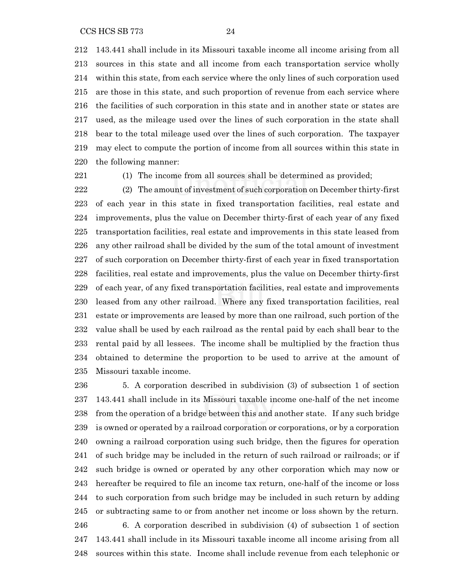143.441 shall include in its Missouri taxable income all income arising from all sources in this state and all income from each transportation service wholly within this state, from each service where the only lines of such corporation used are those in this state, and such proportion of revenue from each service where the facilities of such corporation in this state and in another state or states are used, as the mileage used over the lines of such corporation in the state shall bear to the total mileage used over the lines of such corporation. The taxpayer may elect to compute the portion of income from all sources within this state in the following manner:

(1) The income from all sources shall be determined as provided;

 (2) The amount of investment of such corporation on December thirty-first of each year in this state in fixed transportation facilities, real estate and improvements, plus the value on December thirty-first of each year of any fixed transportation facilities, real estate and improvements in this state leased from any other railroad shall be divided by the sum of the total amount of investment of such corporation on December thirty-first of each year in fixed transportation facilities, real estate and improvements, plus the value on December thirty-first of each year, of any fixed transportation facilities, real estate and improvements leased from any other railroad. Where any fixed transportation facilities, real estate or improvements are leased by more than one railroad, such portion of the value shall be used by each railroad as the rental paid by each shall bear to the rental paid by all lessees. The income shall be multiplied by the fraction thus obtained to determine the proportion to be used to arrive at the amount of Missouri taxable income.

 5. A corporation described in subdivision (3) of subsection 1 of section 143.441 shall include in its Missouri taxable income one-half of the net income from the operation of a bridge between this and another state. If any such bridge is owned or operated by a railroad corporation or corporations, or by a corporation owning a railroad corporation using such bridge, then the figures for operation of such bridge may be included in the return of such railroad or railroads; or if such bridge is owned or operated by any other corporation which may now or hereafter be required to file an income tax return, one-half of the income or loss to such corporation from such bridge may be included in such return by adding or subtracting same to or from another net income or loss shown by the return. 6. A corporation described in subdivision (4) of subsection 1 of section 143.441 shall include in its Missouri taxable income all income arising from all sources within this state. Income shall include revenue from each telephonic or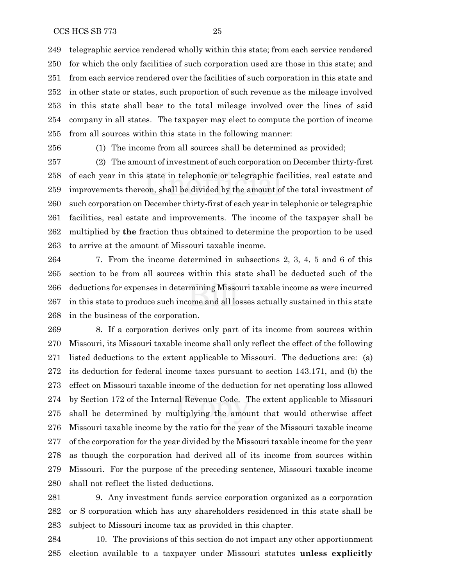telegraphic service rendered wholly within this state; from each service rendered for which the only facilities of such corporation used are those in this state; and from each service rendered over the facilities of such corporation in this state and in other state or states, such proportion of such revenue as the mileage involved in this state shall bear to the total mileage involved over the lines of said company in all states. The taxpayer may elect to compute the portion of income from all sources within this state in the following manner:

(1) The income from all sources shall be determined as provided;

 (2) The amount of investment of such corporation on December thirty-first of each year in this state in telephonic or telegraphic facilities, real estate and improvements thereon, shall be divided by the amount of the total investment of such corporation on December thirty-first of each year in telephonic or telegraphic facilities, real estate and improvements. The income of the taxpayer shall be multiplied by **the** fraction thus obtained to determine the proportion to be used to arrive at the amount of Missouri taxable income.

 7. From the income determined in subsections 2, 3, 4, 5 and 6 of this section to be from all sources within this state shall be deducted such of the deductions for expenses in determining Missouri taxable income as were incurred in this state to produce such income and all losses actually sustained in this state in the business of the corporation.

 8. If a corporation derives only part of its income from sources within Missouri, its Missouri taxable income shall only reflect the effect of the following listed deductions to the extent applicable to Missouri. The deductions are: (a) its deduction for federal income taxes pursuant to section 143.171, and (b) the effect on Missouri taxable income of the deduction for net operating loss allowed by Section 172 of the Internal Revenue Code. The extent applicable to Missouri shall be determined by multiplying the amount that would otherwise affect Missouri taxable income by the ratio for the year of the Missouri taxable income of the corporation for the year divided by the Missouri taxable income for the year as though the corporation had derived all of its income from sources within Missouri. For the purpose of the preceding sentence, Missouri taxable income shall not reflect the listed deductions.

 9. Any investment funds service corporation organized as a corporation or S corporation which has any shareholders residenced in this state shall be subject to Missouri income tax as provided in this chapter.

 10. The provisions of this section do not impact any other apportionment election available to a taxpayer under Missouri statutes **unless explicitly**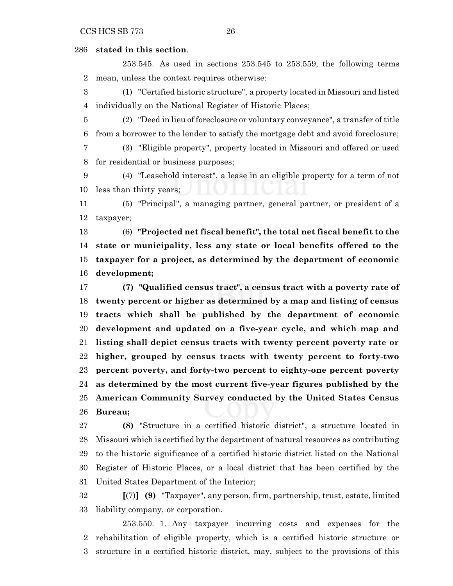### **stated in this section**.

253.545. As used in sections 253.545 to 253.559, the following terms mean, unless the context requires otherwise:

 (1) "Certified historic structure", a property located in Missouri and listed individually on the National Register of Historic Places;

 (2) "Deed in lieu of foreclosure or voluntary conveyance", a transfer of title from a borrower to the lender to satisfy the mortgage debt and avoid foreclosure;

 (3) "Eligible property", property located in Missouri and offered or used for residential or business purposes;

 (4) "Leasehold interest", a lease in an eligible property for a term of not less than thirty years;

 (5) "Principal", a managing partner, general partner, or president of a taxpayer;

 (6) **"Projected net fiscal benefit", the total net fiscal benefit to the state or municipality, less any state or local benefits offered to the taxpayer for a project, as determined by the department of economic development;**

 **(7) "Qualified census tract", a census tract with a poverty rate of twenty percent or higher as determined by a map and listing of census tracts which shall be published by the department of economic development and updated on a five-year cycle, and which map and listing shall depict census tracts with twenty percent poverty rate or higher, grouped by census tracts with twenty percent to forty-two percent poverty, and forty-two percent to eighty-one percent poverty as determined by the most current five-year figures published by the American Community Survey conducted by the United States Census Bureau;**

 **(8)** "Structure in a certified historic district", a structure located in Missouri which is certified by the department of natural resources as contributing to the historic significance of a certified historic district listed on the National Register of Historic Places, or a local district that has been certified by the United States Department of the Interior;

 **[**(7)**] (9)** "Taxpayer", any person, firm, partnership, trust, estate, limited liability company, or corporation.

253.550. 1. Any taxpayer incurring costs and expenses for the rehabilitation of eligible property, which is a certified historic structure or structure in a certified historic district, may, subject to the provisions of this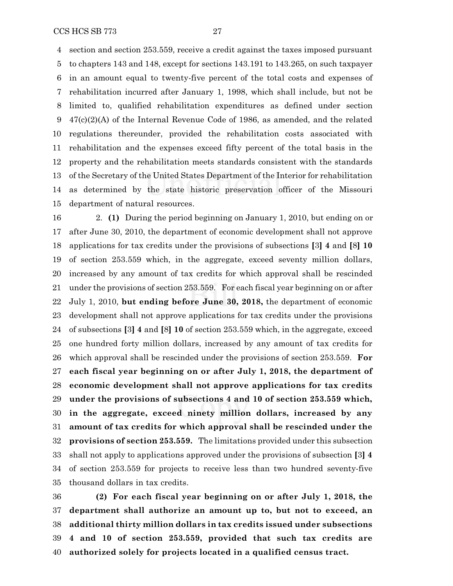section and section 253.559, receive a credit against the taxes imposed pursuant

 to chapters 143 and 148, except for sections 143.191 to 143.265, on such taxpayer in an amount equal to twenty-five percent of the total costs and expenses of rehabilitation incurred after January 1, 1998, which shall include, but not be limited to, qualified rehabilitation expenditures as defined under section 47(c)(2)(A) of the Internal Revenue Code of 1986, as amended, and the related regulations thereunder, provided the rehabilitation costs associated with rehabilitation and the expenses exceed fifty percent of the total basis in the property and the rehabilitation meets standards consistent with the standards of the Secretary of the United States Department of the Interior for rehabilitation as determined by the state historic preservation officer of the Missouri department of natural resources.

 2. **(1)** During the period beginning on January 1, 2010, but ending on or after June 30, 2010, the department of economic development shall not approve applications for tax credits under the provisions of subsections **[**3**] 4** and **[**8**] 10** of section 253.559 which, in the aggregate, exceed seventy million dollars, increased by any amount of tax credits for which approval shall be rescinded under the provisions of section 253.559. For each fiscal year beginning on or after July 1, 2010, **but ending before June 30, 2018,** the department of economic development shall not approve applications for tax credits under the provisions of subsections **[**3**] 4** and **[**8**] 10** of section 253.559 which, in the aggregate, exceed one hundred forty million dollars, increased by any amount of tax credits for which approval shall be rescinded under the provisions of section 253.559. **For each fiscal year beginning on or after July 1, 2018, the department of economic development shall not approve applications for tax credits under the provisions of subsections 4 and 10 of section 253.559 which, in the aggregate, exceed ninety million dollars, increased by any amount of tax credits for which approval shall be rescinded under the provisions of section 253.559.** The limitations provided under this subsection shall not apply to applications approved under the provisions of subsection **[**3**] 4** of section 253.559 for projects to receive less than two hundred seventy-five thousand dollars in tax credits.

 **(2) For each fiscal year beginning on or after July 1, 2018, the department shall authorize an amount up to, but not to exceed, an additional thirty million dollars in tax credits issued under subsections 4 and 10 of section 253.559, provided that such tax credits are authorized solely for projects located in a qualified census tract.**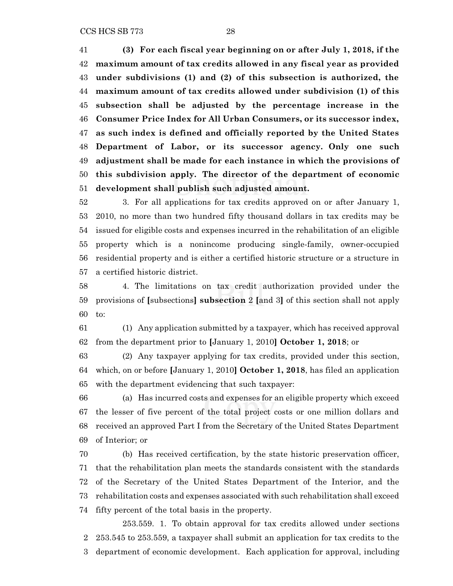CCS HCS SB 773 28

 **(3) For each fiscal year beginning on or after July 1, 2018, if the maximum amount of tax credits allowed in any fiscal year as provided under subdivisions (1) and (2) of this subsection is authorized, the maximum amount of tax credits allowed under subdivision (1) of this subsection shall be adjusted by the percentage increase in the Consumer Price Index for All Urban Consumers, or its successor index, as such index is defined and officially reported by the United States Department of Labor, or its successor agency. Only one such adjustment shall be made for each instance in which the provisions of this subdivision apply. The director of the department of economic development shall publish such adjusted amount.**

 3. For all applications for tax credits approved on or after January 1, 2010, no more than two hundred fifty thousand dollars in tax credits may be issued for eligible costs and expenses incurred in the rehabilitation of an eligible property which is a nonincome producing single-family, owner-occupied residential property and is either a certified historic structure or a structure in a certified historic district.

 4. The limitations on tax credit authorization provided under the provisions of **[**subsections**] subsection** 2 **[**and 3**]** of this section shall not apply to:

 (1) Any application submitted by a taxpayer, which has received approval from the department prior to **[**January 1, 2010**] October 1, 2018**; or

 (2) Any taxpayer applying for tax credits, provided under this section, which, on or before **[**January 1, 2010**] October 1, 2018**, has filed an application with the department evidencing that such taxpayer:

 (a) Has incurred costs and expenses for an eligible property which exceed the lesser of five percent of the total project costs or one million dollars and received an approved Part I from the Secretary of the United States Department of Interior; or

 (b) Has received certification, by the state historic preservation officer, that the rehabilitation plan meets the standards consistent with the standards of the Secretary of the United States Department of the Interior, and the rehabilitation costs and expenses associated with such rehabilitation shall exceed fifty percent of the total basis in the property.

253.559. 1. To obtain approval for tax credits allowed under sections 253.545 to 253.559, a taxpayer shall submit an application for tax credits to the department of economic development. Each application for approval, including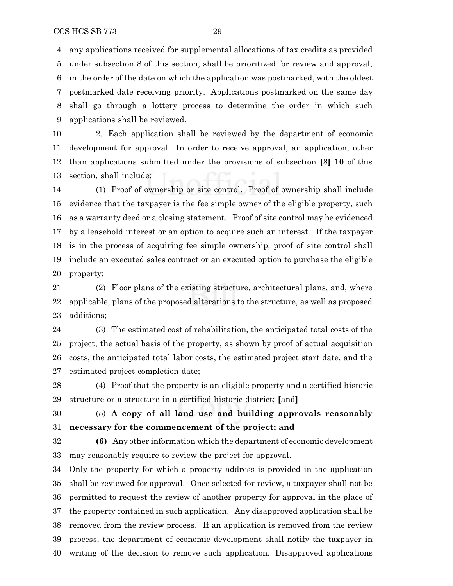any applications received for supplemental allocations of tax credits as provided under subsection 8 of this section, shall be prioritized for review and approval, in the order of the date on which the application was postmarked, with the oldest postmarked date receiving priority. Applications postmarked on the same day shall go through a lottery process to determine the order in which such

applications shall be reviewed.

 2. Each application shall be reviewed by the department of economic development for approval. In order to receive approval, an application, other than applications submitted under the provisions of subsection **[**8**] 10** of this section, shall include:

 (1) Proof of ownership or site control. Proof of ownership shall include evidence that the taxpayer is the fee simple owner of the eligible property, such as a warranty deed or a closing statement. Proof of site control may be evidenced by a leasehold interest or an option to acquire such an interest. If the taxpayer is in the process of acquiring fee simple ownership, proof of site control shall include an executed sales contract or an executed option to purchase the eligible property;

 (2) Floor plans of the existing structure, architectural plans, and, where applicable, plans of the proposed alterations to the structure, as well as proposed additions;

 (3) The estimated cost of rehabilitation, the anticipated total costs of the project, the actual basis of the property, as shown by proof of actual acquisition costs, the anticipated total labor costs, the estimated project start date, and the estimated project completion date;

 (4) Proof that the property is an eligible property and a certified historic structure or a structure in a certified historic district; **[**and**]**

 (5) **A copy of all land use and building approvals reasonably necessary for the commencement of the project; and**

 **(6)** Any other information which the department of economic development may reasonably require to review the project for approval.

 Only the property for which a property address is provided in the application shall be reviewed for approval. Once selected for review, a taxpayer shall not be permitted to request the review of another property for approval in the place of the property contained in such application. Any disapproved application shall be removed from the review process. If an application is removed from the review process, the department of economic development shall notify the taxpayer in writing of the decision to remove such application. Disapproved applications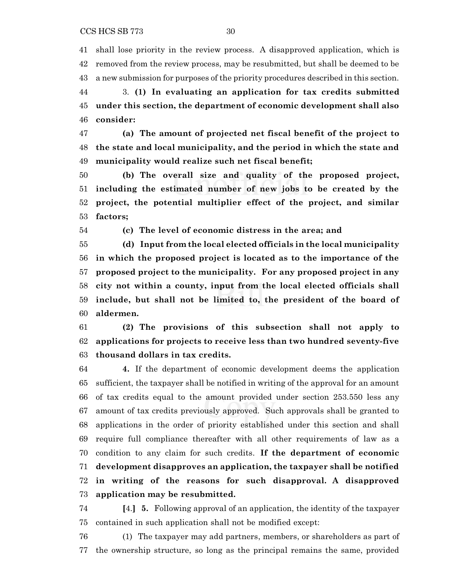shall lose priority in the review process. A disapproved application, which is removed from the review process, may be resubmitted, but shall be deemed to be a new submission for purposes of the priority procedures described in this section.

 3. **(1) In evaluating an application for tax credits submitted under this section, the department of economic development shall also consider:**

 **(a) The amount of projected net fiscal benefit of the project to the state and local municipality, and the period in which the state and municipality would realize such net fiscal benefit;**

 **(b) The overall size and quality of the proposed project, including the estimated number of new jobs to be created by the project, the potential multiplier effect of the project, and similar factors;**

**(c) The level of economic distress in the area; and**

 **(d) Input from the local elected officials in the local municipality in which the proposed project is located as to the importance of the proposed project to the municipality. For any proposed project in any city not within a county, input from the local elected officials shall include, but shall not be limited to, the president of the board of aldermen.**

 **(2) The provisions of this subsection shall not apply to applications for projects to receive less than two hundred seventy-five thousand dollars in tax credits.**

 **4.** If the department of economic development deems the application sufficient, the taxpayer shall be notified in writing of the approval for an amount of tax credits equal to the amount provided under section 253.550 less any amount of tax credits previously approved. Such approvals shall be granted to applications in the order of priority established under this section and shall require full compliance thereafter with all other requirements of law as a condition to any claim for such credits. **If the department of economic development disapproves an application, the taxpayer shall be notified in writing of the reasons for such disapproval. A disapproved application may be resubmitted.**

 **[**4.**] 5.** Following approval of an application, the identity of the taxpayer contained in such application shall not be modified except:

 (1) The taxpayer may add partners, members, or shareholders as part of the ownership structure, so long as the principal remains the same, provided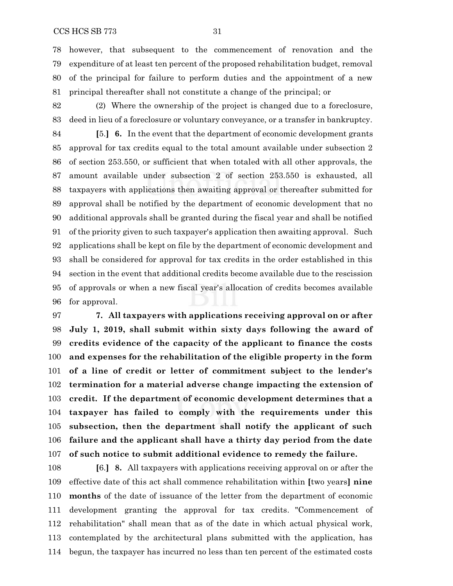however, that subsequent to the commencement of renovation and the expenditure of at least ten percent of the proposed rehabilitation budget, removal of the principal for failure to perform duties and the appointment of a new principal thereafter shall not constitute a change of the principal; or

 (2) Where the ownership of the project is changed due to a foreclosure, deed in lieu of a foreclosure or voluntary conveyance, or a transfer in bankruptcy.

 **[**5.**] 6.** In the event that the department of economic development grants approval for tax credits equal to the total amount available under subsection 2 of section 253.550, or sufficient that when totaled with all other approvals, the amount available under subsection 2 of section 253.550 is exhausted, all taxpayers with applications then awaiting approval or thereafter submitted for approval shall be notified by the department of economic development that no additional approvals shall be granted during the fiscal year and shall be notified of the priority given to such taxpayer's application then awaiting approval. Such applications shall be kept on file by the department of economic development and shall be considered for approval for tax credits in the order established in this section in the event that additional credits become available due to the rescission of approvals or when a new fiscal year's allocation of credits becomes available for approval.

 **7. All taxpayers with applications receiving approval on or after July 1, 2019, shall submit within sixty days following the award of credits evidence of the capacity of the applicant to finance the costs and expenses for the rehabilitation of the eligible property in the form of a line of credit or letter of commitment subject to the lender's termination for a material adverse change impacting the extension of credit. If the department of economic development determines that a taxpayer has failed to comply with the requirements under this subsection, then the department shall notify the applicant of such failure and the applicant shall have a thirty day period from the date of such notice to submit additional evidence to remedy the failure.**

 **[**6.**] 8.** All taxpayers with applications receiving approval on or after the effective date of this act shall commence rehabilitation within **[**two years**] nine months** of the date of issuance of the letter from the department of economic development granting the approval for tax credits. "Commencement of rehabilitation" shall mean that as of the date in which actual physical work, contemplated by the architectural plans submitted with the application, has begun, the taxpayer has incurred no less than ten percent of the estimated costs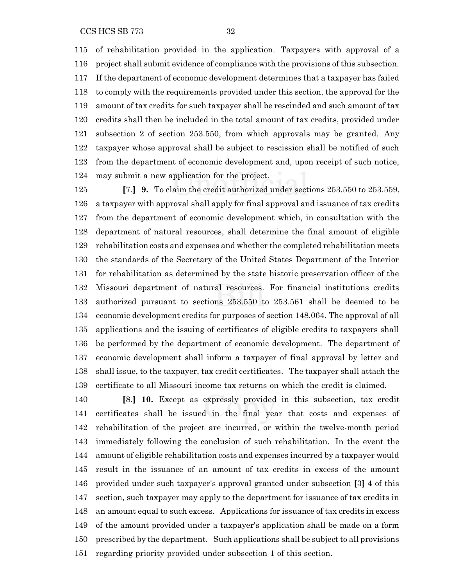of rehabilitation provided in the application. Taxpayers with approval of a project shall submit evidence of compliance with the provisions of this subsection. If the department of economic development determines that a taxpayer has failed to comply with the requirements provided under this section, the approval for the amount of tax credits for such taxpayer shall be rescinded and such amount of tax credits shall then be included in the total amount of tax credits, provided under subsection 2 of section 253.550, from which approvals may be granted. Any taxpayer whose approval shall be subject to rescission shall be notified of such from the department of economic development and, upon receipt of such notice, may submit a new application for the project.

 **[**7.**] 9.** To claim the credit authorized under sections 253.550 to 253.559, a taxpayer with approval shall apply for final approval and issuance of tax credits from the department of economic development which, in consultation with the department of natural resources, shall determine the final amount of eligible rehabilitation costs and expenses and whether the completed rehabilitation meets the standards of the Secretary of the United States Department of the Interior for rehabilitation as determined by the state historic preservation officer of the Missouri department of natural resources. For financial institutions credits authorized pursuant to sections 253.550 to 253.561 shall be deemed to be economic development credits for purposes of section 148.064. The approval of all applications and the issuing of certificates of eligible credits to taxpayers shall be performed by the department of economic development. The department of economic development shall inform a taxpayer of final approval by letter and shall issue, to the taxpayer, tax credit certificates. The taxpayer shall attach the certificate to all Missouri income tax returns on which the credit is claimed.

 **[**8.**] 10.** Except as expressly provided in this subsection, tax credit certificates shall be issued in the final year that costs and expenses of rehabilitation of the project are incurred, or within the twelve-month period immediately following the conclusion of such rehabilitation. In the event the amount of eligible rehabilitation costs and expenses incurred by a taxpayer would result in the issuance of an amount of tax credits in excess of the amount provided under such taxpayer's approval granted under subsection **[**3**] 4** of this section, such taxpayer may apply to the department for issuance of tax credits in an amount equal to such excess. Applications for issuance of tax credits in excess of the amount provided under a taxpayer's application shall be made on a form prescribed by the department. Such applications shall be subject to all provisions regarding priority provided under subsection 1 of this section.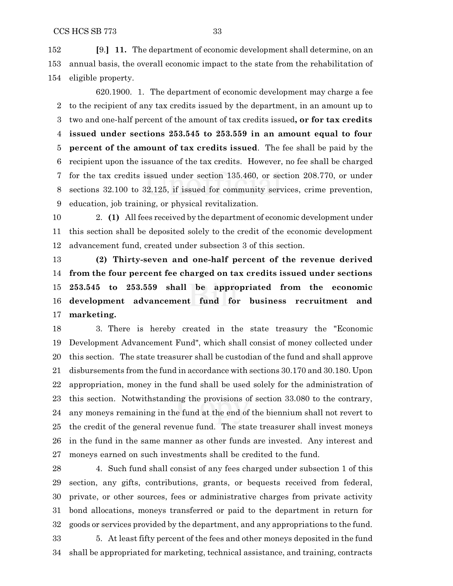**[**9.**] 11.** The department of economic development shall determine, on an annual basis, the overall economic impact to the state from the rehabilitation of eligible property.

620.1900. 1. The department of economic development may charge a fee to the recipient of any tax credits issued by the department, in an amount up to two and one-half percent of the amount of tax credits issued**, or for tax credits issued under sections 253.545 to 253.559 in an amount equal to four percent of the amount of tax credits issued**. The fee shall be paid by the recipient upon the issuance of the tax credits. However, no fee shall be charged for the tax credits issued under section 135.460, or section 208.770, or under sections 32.100 to 32.125, if issued for community services, crime prevention, education, job training, or physical revitalization.

 2. **(1)** All fees received by the department of economic development under this section shall be deposited solely to the credit of the economic development advancement fund, created under subsection 3 of this section.

 **(2) Thirty-seven and one-half percent of the revenue derived from the four percent fee charged on tax credits issued under sections 253.545 to 253.559 shall be appropriated from the economic development advancement fund for business recruitment and marketing.**

 3. There is hereby created in the state treasury the "Economic Development Advancement Fund", which shall consist of money collected under this section. The state treasurer shall be custodian of the fund and shall approve disbursements from the fund in accordance with sections 30.170 and 30.180. Upon appropriation, money in the fund shall be used solely for the administration of this section. Notwithstanding the provisions of section 33.080 to the contrary, any moneys remaining in the fund at the end of the biennium shall not revert to the credit of the general revenue fund. The state treasurer shall invest moneys in the fund in the same manner as other funds are invested. Any interest and moneys earned on such investments shall be credited to the fund.

 4. Such fund shall consist of any fees charged under subsection 1 of this section, any gifts, contributions, grants, or bequests received from federal, private, or other sources, fees or administrative charges from private activity bond allocations, moneys transferred or paid to the department in return for goods or services provided by the department, and any appropriations to the fund. 5. At least fifty percent of the fees and other moneys deposited in the fund

shall be appropriated for marketing, technical assistance, and training, contracts